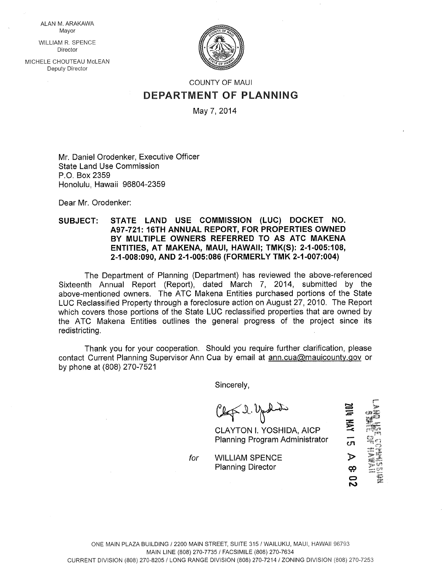ALAN M. ARAKAWA Mayor

WILLIAM R. SPENCE **Director** 

MlCHELE CHOUTEAU McLEAN Deputy Director



## COUNTY OF MAUl DEPARTMENT OF PLANNING

May 7, 2014

Mr. Daniel Orodenker, Executive Officer State Land Use Commission P.O. Box 2359 Honolulu, Hawaii 96804-2359

Dear Mr. Orodenker:

## SUBJECT: STATE LAND USE COMMISSION (LUC) DOCKET NO. A97-72t: 16TH ANNUAL REPORT, FOR PROPERTIES OWNED BY MULTIPLE OWNERS REFERRED TO AS ATC MAKENA ENTITIES, AT MAKENA, MAUl, HAWAII; TMK(S): 2-1-005:108, 2-1-008:090, AND 2-1-005:086 (FORMERLY TMK 2-1-007:004)

The Department of Planning (Department) has reviewed the above-referenced Sixteenth Annual Report (Report), dated March 7, 2014, submitted by the above-mentioned owners. The ATC Makena Entities purchased portions of the State LUC Reclassified Property through a foreclosure action on August 27, 2010. The Report which covers those portions of the State LUC reclassified properties that are owned by the ATC Makena Entities outlines the general progress of the project since its redistricting.

Thank you for your cooperation. Should you require further clarification, please contact Current Planning Supervisor Ann Cua by email at ann.cua@mauicounty.,qov or by phone at (808) 270-7521

Sincerely,

 $C2\not\sim 2.2$ 

CLAYTON I. YOSHIDA, AICP Planning Program Administrator r-

—<br>ហ

 $\mathbf z$ œ

for WILLIAM SPENCE Planning Director